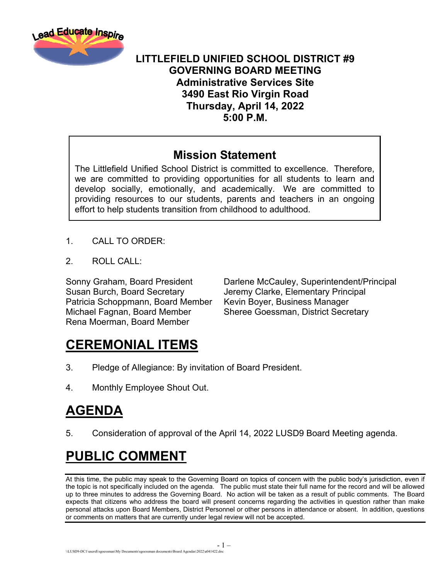

#### **LITTLEFIELD UNIFIED SCHOOL DISTRICT #9 GOVERNING BOARD MEETING Administrative Services Site 3490 East Rio Virgin Road Thursday, April 14, 2022 5:00 P.M.**

#### **Mission Statement**

The Littlefield Unified School District is committed to excellence. Therefore, we are committed to providing opportunities for all students to learn and develop socially, emotionally, and academically. We are committed to providing resources to our students, parents and teachers in an ongoing effort to help students transition from childhood to adulthood.

- 1. CALL TO ORDER:
- $2 \quad$  ROLL CALL:

Susan Burch, Board Secretary Jeremy Clarke, Elementary Principal Patricia Schoppmann, Board Member Kevin Boyer, Business Manager Michael Fagnan, Board Member Sheree Goessman, District Secretary Rena Moerman, Board Member

Sonny Graham, Board President Darlene McCauley, Superintendent/Principal

## **CEREMONIAL ITEMS**

- 3. Pledge of Allegiance: By invitation of Board President.
- 4. Monthly Employee Shout Out.

# **AGENDA**

5. Consideration of approval of the April 14, 2022 LUSD9 Board Meeting agenda.

## **PUBLIC COMMENT**

At this time, the public may speak to the Governing Board on topics of concern with the public body's jurisdiction, even if the topic is not specifically included on the agenda. The public must state their full name for the record and will be allowed up to three minutes to address the Governing Board. No action will be taken as a result of public comments. The Board expects that citizens who address the board will present concerns regarding the activities in question rather than make personal attacks upon Board Members, District Personnel or other persons in attendance or absent. In addition, questions or comments on matters that are currently under legal review will not be accepted.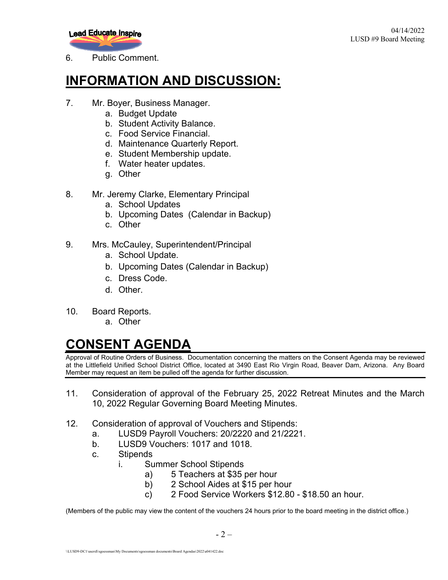

6. Public Comment.

#### **INFORMATION AND DISCUSSION:**

- 7. Mr. Boyer, Business Manager.
	- a. Budget Update
	- b. Student Activity Balance.
	- c. Food Service Financial.
	- d. Maintenance Quarterly Report.
	- e. Student Membership update.
	- f. Water heater updates.
	- g. Other
- 8. Mr. Jeremy Clarke, Elementary Principal
	- a. School Updates
	- b. Upcoming Dates (Calendar in Backup)
	- c. Other
- 9. Mrs. McCauley, Superintendent/Principal
	- a. School Update.
	- b. Upcoming Dates (Calendar in Backup)
	- c. Dress Code.
	- d. Other.
- 10. Board Reports.
	- a. Other

## **CONSENT AGENDA**

Approval of Routine Orders of Business. Documentation concerning the matters on the Consent Agenda may be reviewed at the Littlefield Unified School District Office, located at 3490 East Rio Virgin Road, Beaver Dam, Arizona. Any Board Member may request an item be pulled off the agenda for further discussion.

- 11. Consideration of approval of the February 25, 2022 Retreat Minutes and the March 10, 2022 Regular Governing Board Meeting Minutes.
- 12. Consideration of approval of Vouchers and Stipends:
	- a. LUSD9 Payroll Vouchers: 20/2220 and 21/2221.
	- b. LUSD9 Vouchers: 1017 and 1018.
	- c. Stipends
		- i. Summer School Stipends
			- a) 5 Teachers at \$35 per hour
			- b) 2 School Aides at \$15 per hour
			- c) 2 Food Service Workers \$12.80 \$18.50 an hour.

(Members of the public may view the content of the vouchers 24 hours prior to the board meeting in the district office.)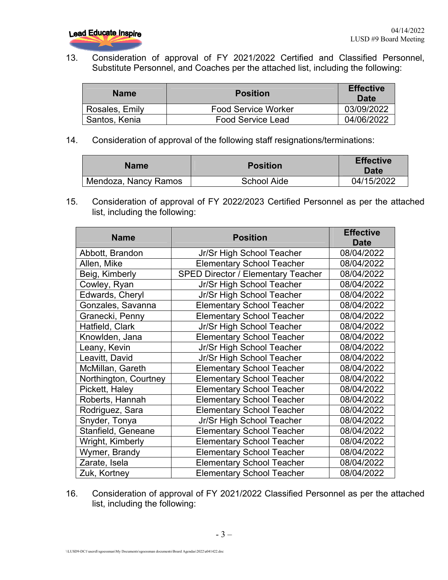13. Consideration of approval of FY 2021/2022 Certified and Classified Personnel, Substitute Personnel, and Coaches per the attached list, including the following:

| <b>Name</b>    | <b>Position</b>            | <b>Effective</b><br>Date |
|----------------|----------------------------|--------------------------|
| Rosales, Emily | <b>Food Service Worker</b> | 03/09/2022               |
| Santos, Kenia  | <b>Food Service Lead</b>   | 04/06/2022               |

14. Consideration of approval of the following staff resignations/terminations:

| <b>Name</b>          | <b>Position</b> | <b>Effective</b><br>Date |
|----------------------|-----------------|--------------------------|
| Mendoza, Nancy Ramos | School Aide     | 04/15/2022               |

15. Consideration of approval of FY 2022/2023 Certified Personnel as per the attached list, including the following:

| <b>Name</b>           | <b>Position</b>                           | <b>Effective</b> |
|-----------------------|-------------------------------------------|------------------|
|                       |                                           | <b>Date</b>      |
| Abbott, Brandon       | Jr/Sr High School Teacher                 | 08/04/2022       |
| Allen, Mike           | <b>Elementary School Teacher</b>          | 08/04/2022       |
| Beig, Kimberly        | <b>SPED Director / Elementary Teacher</b> | 08/04/2022       |
| Cowley, Ryan          | Jr/Sr High School Teacher                 | 08/04/2022       |
| Edwards, Cheryl       | Jr/Sr High School Teacher                 | 08/04/2022       |
| Gonzales, Savanna     | <b>Elementary School Teacher</b>          | 08/04/2022       |
| Granecki, Penny       | <b>Elementary School Teacher</b>          | 08/04/2022       |
| Hatfield, Clark       | Jr/Sr High School Teacher                 | 08/04/2022       |
| Knowlden, Jana        | <b>Elementary School Teacher</b>          | 08/04/2022       |
| Leany, Kevin          | Jr/Sr High School Teacher                 | 08/04/2022       |
| Leavitt, David        | Jr/Sr High School Teacher                 | 08/04/2022       |
| McMillan, Gareth      | <b>Elementary School Teacher</b>          | 08/04/2022       |
| Northington, Courtney | <b>Elementary School Teacher</b>          | 08/04/2022       |
| Pickett, Haley        | <b>Elementary School Teacher</b>          | 08/04/2022       |
| Roberts, Hannah       | <b>Elementary School Teacher</b>          | 08/04/2022       |
| Rodriguez, Sara       | <b>Elementary School Teacher</b>          | 08/04/2022       |
| Snyder, Tonya         | Jr/Sr High School Teacher                 | 08/04/2022       |
| Stanfield, Geneane    | <b>Elementary School Teacher</b>          | 08/04/2022       |
| Wright, Kimberly      | <b>Elementary School Teacher</b>          | 08/04/2022       |
| Wymer, Brandy         | <b>Elementary School Teacher</b>          | 08/04/2022       |
| Zarate, Isela         | <b>Elementary School Teacher</b>          | 08/04/2022       |
| Zuk, Kortney          | <b>Elementary School Teacher</b>          | 08/04/2022       |

16. Consideration of approval of FY 2021/2022 Classified Personnel as per the attached list, including the following: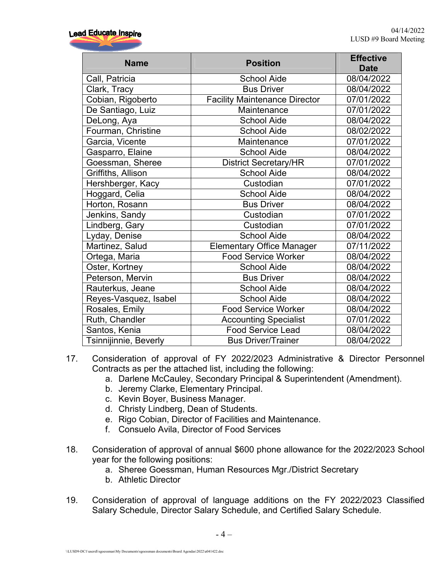| <b>Name</b>           | <b>Position</b>                      | <b>Effective</b><br><b>Date</b> |
|-----------------------|--------------------------------------|---------------------------------|
| Call, Patricia        | <b>School Aide</b>                   | 08/04/2022                      |
| Clark, Tracy          | <b>Bus Driver</b>                    | 08/04/2022                      |
| Cobian, Rigoberto     | <b>Facility Maintenance Director</b> | 07/01/2022                      |
| De Santiago, Luiz     | Maintenance                          | 07/01/2022                      |
| DeLong, Aya           | <b>School Aide</b>                   | 08/04/2022                      |
| Fourman, Christine    | <b>School Aide</b>                   | 08/02/2022                      |
| Garcia, Vicente       | Maintenance                          | 07/01/2022                      |
| Gasparro, Elaine      | <b>School Aide</b>                   | 08/04/2022                      |
| Goessman, Sheree      | District Secretary/HR                | 07/01/2022                      |
| Griffiths, Allison    | <b>School Aide</b>                   | 08/04/2022                      |
| Hershberger, Kacy     | Custodian                            | 07/01/2022                      |
| Hoggard, Celia        | <b>School Aide</b>                   | 08/04/2022                      |
| Horton, Rosann        | <b>Bus Driver</b>                    | 08/04/2022                      |
| Jenkins, Sandy        | Custodian                            | 07/01/2022                      |
| Lindberg, Gary        | Custodian                            | 07/01/2022                      |
| Lyday, Denise         | <b>School Aide</b>                   | 08/04/2022                      |
| Martinez, Salud       | <b>Elementary Office Manager</b>     | 07/11/2022                      |
| Ortega, Maria         | <b>Food Service Worker</b>           | 08/04/2022                      |
| Oster, Kortney        | <b>School Aide</b>                   | 08/04/2022                      |
| Peterson, Mervin      | <b>Bus Driver</b>                    | 08/04/2022                      |
| Rauterkus, Jeane      | <b>School Aide</b>                   | 08/04/2022                      |
| Reyes-Vasquez, Isabel | <b>School Aide</b>                   | 08/04/2022                      |
| Rosales, Emily        | <b>Food Service Worker</b>           | 08/04/2022                      |
| Ruth, Chandler        | <b>Accounting Specialist</b>         | 07/01/2022                      |
| Santos, Kenia         | <b>Food Service Lead</b>             | 08/04/2022                      |
| Tsinnijinnie, Beverly | <b>Bus Driver/Trainer</b>            | 08/04/2022                      |

- 17. Consideration of approval of FY 2022/2023 Administrative & Director Personnel Contracts as per the attached list, including the following:
	- a. Darlene McCauley, Secondary Principal & Superintendent (Amendment).
	- b. Jeremy Clarke, Elementary Principal.
	- c. Kevin Boyer, Business Manager.
	- d. Christy Lindberg, Dean of Students.
	- e. Rigo Cobian, Director of Facilities and Maintenance.
	- f. Consuelo Avila, Director of Food Services
- 18. Consideration of approval of annual \$600 phone allowance for the 2022/2023 School year for the following positions:
	- a. Sheree Goessman, Human Resources Mgr./District Secretary
	- b. Athletic Director
- 19. Consideration of approval of language additions on the FY 2022/2023 Classified Salary Schedule, Director Salary Schedule, and Certified Salary Schedule.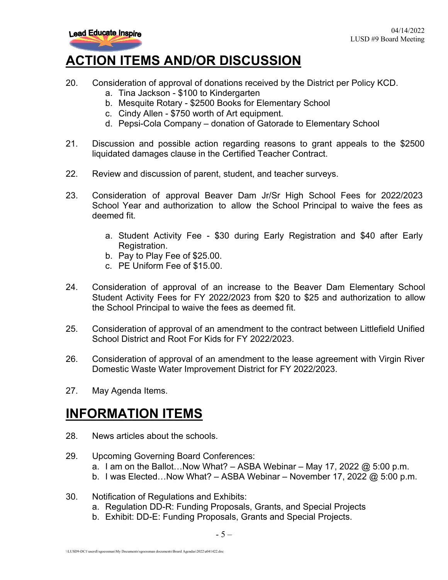

### **ACTION ITEMS AND/OR DISCUSSION**

- 20. Consideration of approval of donations received by the District per Policy KCD.
	- a. Tina Jackson \$100 to Kindergarten
	- b. Mesquite Rotary \$2500 Books for Elementary School
	- c. Cindy Allen \$750 worth of Art equipment.
	- d. Pepsi-Cola Company donation of Gatorade to Elementary School
- 21. Discussion and possible action regarding reasons to grant appeals to the \$2500 liquidated damages clause in the Certified Teacher Contract.
- 22. Review and discussion of parent, student, and teacher surveys.
- 23. Consideration of approval Beaver Dam Jr/Sr High School Fees for 2022/2023 School Year and authorization to allow the School Principal to waive the fees as deemed fit.
	- a. Student Activity Fee \$30 during Early Registration and \$40 after Early Registration.
	- b. Pay to Play Fee of \$25.00.
	- c. PE Uniform Fee of \$15.00.
- 24. Consideration of approval of an increase to the Beaver Dam Elementary School Student Activity Fees for FY 2022/2023 from \$20 to \$25 and authorization to allow the School Principal to waive the fees as deemed fit.
- 25. Consideration of approval of an amendment to the contract between Littlefield Unified School District and Root For Kids for FY 2022/2023.
- 26. Consideration of approval of an amendment to the lease agreement with Virgin River Domestic Waste Water Improvement District for FY 2022/2023.
- 27. May Agenda Items.

#### **INFORMATION ITEMS**

- 28. News articles about the schools.
- 29. Upcoming Governing Board Conferences: a. I am on the Ballot...Now What?  $-$  ASBA Webinar  $-$  May 17, 2022  $\omega$  5:00 p.m. b. I was Elected...Now What? – ASBA Webinar – November 17, 2022  $@$  5:00 p.m.
- 30. Notification of Regulations and Exhibits:
	- a. Regulation DD-R: Funding Proposals, Grants, and Special Projects
	- b. Exhibit: DD-E: Funding Proposals, Grants and Special Projects.